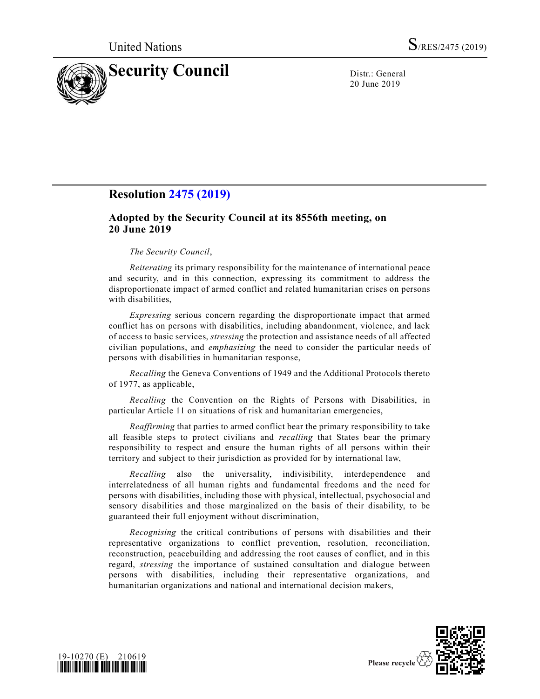

20 June 2019

## **Resolution [2475 \(2019\)](https://undocs.org/en/S/RES/2475%20(2019))**

## **Adopted by the Security Council at its 8556th meeting, on 20 June 2019**

## *The Security Council*,

*Reiterating* its primary responsibility for the maintenance of international peace and security, and in this connection, expressing its commitment to address the disproportionate impact of armed conflict and related humanitarian crises on persons with disabilities,

*Expressing* serious concern regarding the disproportionate impact that armed conflict has on persons with disabilities, including abandonment, violence, and lack of access to basic services, *stressing* the protection and assistance needs of all affected civilian populations, and *emphasizing* the need to consider the particular needs of persons with disabilities in humanitarian response,

*Recalling* the Geneva Conventions of 1949 and the Additional Protocols thereto of 1977, as applicable,

*Recalling* the Convention on the Rights of Persons with Disabilities, in particular Article 11 on situations of risk and humanitarian emergencies,

*Reaffirming* that parties to armed conflict bear the primary responsibility to take all feasible steps to protect civilians and *recalling* that States bear the primary responsibility to respect and ensure the human rights of all persons within their territory and subject to their jurisdiction as provided for by international law,

*Recalling* also the universality, indivisibility, interdependence and interrelatedness of all human rights and fundamental freedoms and the need for persons with disabilities, including those with physical, intellectual, psychosocial and sensory disabilities and those marginalized on the basis of their disability, to be guaranteed their full enjoyment without discrimination,

*Recognising* the critical contributions of persons with disabilities and their representative organizations to conflict prevention, resolution, reconciliation, reconstruction, peacebuilding and addressing the root causes of conflict, and in this regard, *stressing* the importance of sustained consultation and dialogue between persons with disabilities, including their representative organizations, and humanitarian organizations and national and international decision makers,



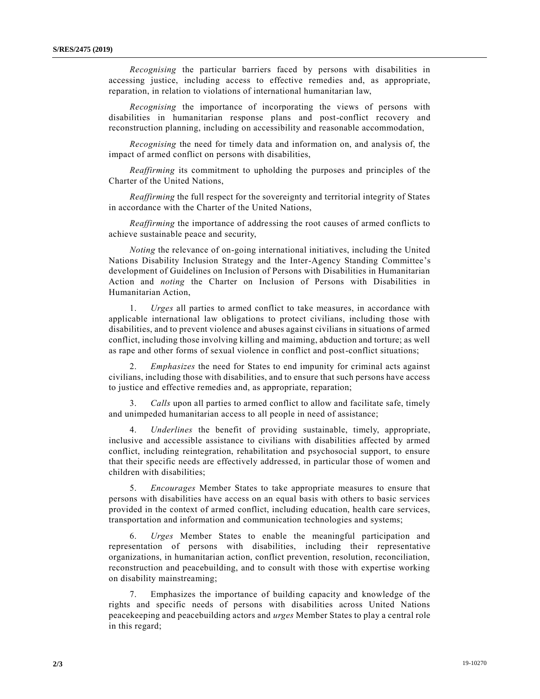*Recognising* the particular barriers faced by persons with disabilities in accessing justice, including access to effective remedies and, as appropriate, reparation, in relation to violations of international humanitarian law,

*Recognising* the importance of incorporating the views of persons with disabilities in humanitarian response plans and post-conflict recovery and reconstruction planning, including on accessibility and reasonable accommodation,

*Recognising* the need for timely data and information on, and analysis of, the impact of armed conflict on persons with disabilities,

*Reaffirming* its commitment to upholding the purposes and principles of the Charter of the United Nations,

*Reaffirming* the full respect for the sovereignty and territorial integrity of States in accordance with the Charter of the United Nations,

*Reaffirming* the importance of addressing the root causes of armed conflicts to achieve sustainable peace and security,

*Noting* the relevance of on-going international initiatives, including the United Nations Disability Inclusion Strategy and the Inter-Agency Standing Committee's development of Guidelines on Inclusion of Persons with Disabilities in Humanitarian Action and *noting* the Charter on Inclusion of Persons with Disabilities in Humanitarian Action,

1. *Urges* all parties to armed conflict to take measures, in accordance with applicable international law obligations to protect civilians, including those with disabilities, and to prevent violence and abuses against civilians in situations of armed conflict, including those involving killing and maiming, abduction and torture; as well as rape and other forms of sexual violence in conflict and post-conflict situations;

2. *Emphasizes* the need for States to end impunity for criminal acts against civilians, including those with disabilities, and to ensure that such persons have access to justice and effective remedies and, as appropriate, reparation;

Calls upon all parties to armed conflict to allow and facilitate safe, timely and unimpeded humanitarian access to all people in need of assistance;

4. *Underlines* the benefit of providing sustainable, timely, appropriate, inclusive and accessible assistance to civilians with disabilities affected by armed conflict, including reintegration, rehabilitation and psychosocial support, to ensure that their specific needs are effectively addressed, in particular those of women and children with disabilities;

5. *Encourages* Member States to take appropriate measures to ensure that persons with disabilities have access on an equal basis with others to basic services provided in the context of armed conflict, including education, health care services, transportation and information and communication technologies and systems;

6. *Urges* Member States to enable the meaningful participation and representation of persons with disabilities, including their representative organizations, in humanitarian action, conflict prevention, resolution, reconciliation, reconstruction and peacebuilding, and to consult with those with expertise working on disability mainstreaming;

7. Emphasizes the importance of building capacity and knowledge of the rights and specific needs of persons with disabilities across United Nations peacekeeping and peacebuilding actors and *urges* Member States to play a central role in this regard;